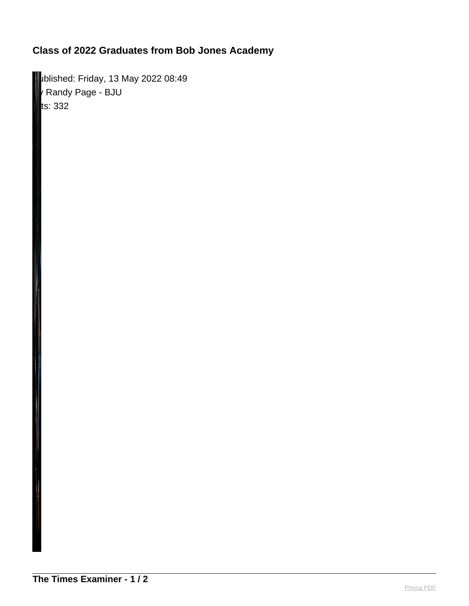## **Class of 2022 Graduates from Bob Jones Academy**

**published: Friday, 13 May 2022 08:49** By Randy Page - BJU  $\parallel$ ts: 332